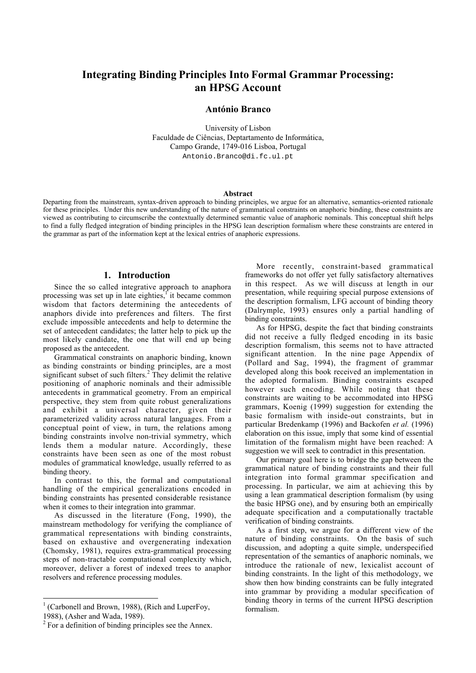# **Integrating Binding Principles Into Formal Grammar Processing: an HPSG Account**

## **António Branco**

University of Lisbon Faculdade de Ciências, Deptartamento de Informática, Campo Grande, 1749-016 Lisboa, Portugal Antonio.Branco@di.fc.ul.pt

#### **Abstract**

Departing from the mainstream, syntax-driven approach to binding principles, we argue for an alternative, semantics-oriented rationale for these principles. Under this new understanding of the nature of grammatical constraints on anaphoric binding, these constraints are viewed as contributing to circumscribe the contextually determined semantic value of anaphoric nominals. This conceptual shift helps to find a fully fledged integration of binding principles in the HPSG lean description formalism where these constraints are entered in the grammar as part of the information kept at the lexical entries of anaphoric expressions.

## **1. Introduction**

Since the so called integrative approach to anaphora processing was set up in late eighties, $\overline{1}$  it became common wisdom that factors determining the antecedents of anaphors divide into preferences and filters. The first exclude impossible antecedents and help to determine the set of antecedent candidates; the latter help to pick up the most likely candidate, the one that will end up being proposed as the antecedent.

Grammatical constraints on anaphoric binding, known as binding constraints or binding principles, are a most significant subset of such filters.<sup>2</sup> They delimit the relative positioning of anaphoric nominals and their admissible antecedents in grammatical geometry. From an empirical perspective, they stem from quite robust generalizations and exhibit a universal character, given their parameterized validity across natural languages. From a conceptual point of view, in turn, the relations among binding constraints involve non-trivial symmetry, which lends them a modular nature. Accordingly, these constraints have been seen as one of the most robust modules of grammatical knowledge, usually referred to as binding theory.

In contrast to this, the formal and computational handling of the empirical generalizations encoded in binding constraints has presented considerable resistance when it comes to their integration into grammar.

As discussed in the literature (Fong, 1990), the mainstream methodology for verifying the compliance of grammatical representations with binding constraints, based on exhaustive and overgenerating indexation (Chomsky, 1981), requires extra-grammatical processing steps of non-tractable computational complexity which, moreover, deliver a forest of indexed trees to anaphor resolvers and reference processing modules.

j

More recently, constraint-based grammatical frameworks do not offer yet fully satisfactory alternatives in this respect. As we will discuss at length in our presentation, while requiring special purpose extensions of the description formalism, LFG account of binding theory (Dalrymple, 1993) ensures only a partial handling of binding constraints.

As for HPSG, despite the fact that binding constraints did not receive a fully fledged encoding in its basic description formalism, this seems not to have attracted significant attention. In the nine page Appendix of (Pollard and Sag, 1994), the fragment of grammar developed along this book received an implementation in the adopted formalism. Binding constraints escaped however such encoding. While noting that these constraints are waiting to be accommodated into HPSG grammars, Koenig (1999) suggestion for extending the basic formalism with inside-out constraints, but in particular Bredenkamp (1996) and Backofen *et al.* (1996) elaboration on this issue, imply that some kind of essential limitation of the formalism might have been reached: A suggestion we will seek to contradict in this presentation.

Our primary goal here is to bridge the gap between the grammatical nature of binding constraints and their full integration into formal grammar specification and processing. In particular, we aim at achieving this by using a lean grammatical description formalism (by using the basic HPSG one), and by ensuring both an empirically adequate specification and a computationally tractable verification of binding constraints.

As a first step, we argue for a different view of the nature of binding constraints. On the basis of such discussion, and adopting a quite simple, underspecified representation of the semantics of anaphoric nominals, we introduce the rationale of new, lexicalist account of binding constraints. In the light of this methodology, we show then how binding constraints can be fully integrated into grammar by providing a modular specification of binding theory in terms of the current HPSG description formalism.

<sup>&</sup>lt;sup>1</sup> (Carbonell and Brown, 1988), (Rich and LuperFoy,

<sup>1988), (</sup>Asher and Wada, 1989).

 $2^2$  For a definition of binding principles see the Annex.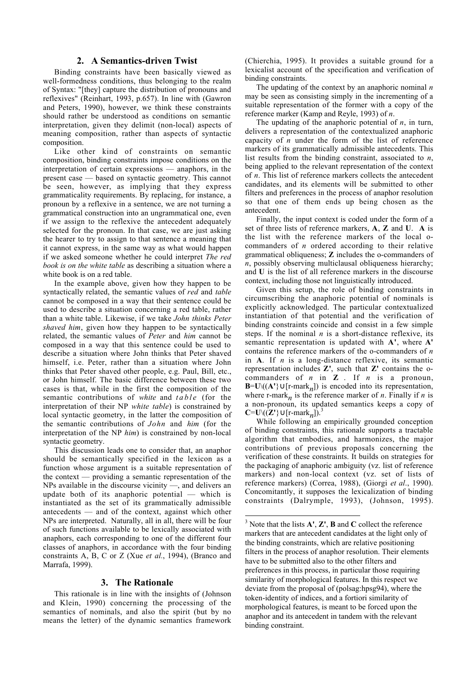## **2. A Semantics-driven Twist**

Binding constraints have been basically viewed as well-formedness conditions, thus belonging to the realm of Syntax: "[they] capture the distribution of pronouns and reflexives" (Reinhart, 1993, p.657). In line with (Gawron and Peters, 1990), however, we think these constraints should rather be understood as conditions on semantic interpretation, given they delimit (non-local) aspects of meaning composition, rather than aspects of syntactic composition.

Like other kind of constraints on semantic composition, binding constraints impose conditions on the interpretation of certain expressions — anaphors, in the present case — based on syntactic geometry. This cannot be seen, however, as implying that they express grammaticality requirements. By replacing, for instance, a pronoun by a reflexive in a sentence, we are not turning a grammatical construction into an ungrammatical one, even if we assign to the reflexive the antecedent adequately selected for the pronoun. In that case, we are just asking the hearer to try to assign to that sentence a meaning that it cannot express, in the same way as what would happen if we asked someone whether he could interpret *The red book is on the white table* as describing a situation where a white book is on a red table.

In the example above, given how they happen to be syntactically related, the semantic values of *red* and *table* cannot be composed in a way that their sentence could be used to describe a situation concerning a red table, rather than a white table. Likewise, if we take *John thinks Peter shaved him*, given how they happen to be syntactically related, the semantic values of *Peter* and *him* cannot be composed in a way that this sentence could be used to describe a situation where John thinks that Peter shaved himself, i.e. Peter, rather than a situation where John thinks that Peter shaved other people, e.g. Paul, Bill, etc., or John himself. The basic difference between these two cases is that, while in the first the composition of the semantic contributions of *white* and *table* (for the interpretation of their NP *white table*) is constrained by local syntactic geometry, in the latter the composition of the semantic contributions of *John* and *him* (for the interpretation of the NP *him*) is constrained by non-local syntactic geometry.

This discussion leads one to consider that, an anaphor should be semantically specified in the lexicon as a function whose argument is a suitable representation of the context — providing a semantic representation of the NPs available in the discourse vicinity —, and delivers an update both of its anaphoric potential — which is instantiated as the set of its grammatically admissible antecedents — and of the context, against which other NPs are interpreted. Naturally, all in all, there will be four of such functions available to be lexically associated with anaphors, each corresponding to one of the different four classes of anaphors, in accordance with the four binding constraints A, B, C or Z (Xue *et al.*, 1994), (Branco and Marrafa, 1999).

### **3. The Rationale**

This rationale is in line with the insights of (Johnson and Klein, 1990) concerning the processing of the semantics of nominals, and also the spirit (but by no means the letter) of the dynamic semantics framework (Chierchia, 1995). It provides a suitable ground for a lexicalist account of the specification and verification of binding constraints.

The updating of the context by an anaphoric nominal *n* may be seen as consisting simply in the incrementing of a suitable representation of the former with a copy of the reference marker (Kamp and Reyle, 1993) of *n*.

The updating of the anaphoric potential of *n*, in turn, delivers a representation of the contextualized anaphoric capacity of *n* under the form of the list of reference markers of its grammatically admissible antecedents. This list results from the binding constraint, associated to *n*, being applied to the relevant representation of the context of *n*. This list of reference markers collects the antecedent candidates, and its elements will be submitted to other filters and preferences in the process of anaphor resolution so that one of them ends up being chosen as the antecedent.

Finally, the input context is coded under the form of a set of three lists of reference markers, **A**, **Z** and **U**. **A** is the list with the reference markers of the local ocommanders of *n* ordered according to their relative grammatical obliqueness; **Z** includes the o-commanders of *n*, possibly observing multiclausal obliqueness hierarchy; and **U** is the list of all reference markers in the discourse context, including those not linguistically introduced.

Given this setup, the role of binding constraints in circumscribing the anaphoric potential of nominals is explicitly acknowledged. The particular contextualized instantiation of that potential and the verification of binding constraints coincide and consist in a few simple steps. If the nominal *n* is a short-distance reflexive, its semantic representation is updated with **A'**, where **A'** contains the reference markers of the o-commanders of *n* in **A**. If *n* is a long-distance reflexive, its semantic representation includes **Z'**, such that **Z'** contains the ocommanders of *n* in **Z** . If *n* is a pronoun, **B**=**U**\((**A'**}∪[r-mark<sub>*n*</sub>]) is encoded into its representation, where r-mark<sub>*n*</sub> is the reference marker of *n*. Finally if *n* is a non-pronoun, its updated semantics keeps a copy of  $C=U\setminus((Z')\cup[r\text{-}mark_n])$ .<sup>3</sup>

While following an empirically grounded conception of binding constraints, this rationale supports a tractable algorithm that embodies, and harmonizes, the major contributions of previous proposals concerning the verification of these constraints. It builds on strategies for the packaging of anaphoric ambiguity (vz. list of reference markers) and non-local context (vz. set of lists of reference markers) (Correa, 1988), (Giorgi *et al*., 1990). Concomitantly, it supposes the lexicalization of binding constraints (Dalrymple, 1993), (Johnson, 1995).

 $\overline{3}$  Note that the lists  $\overline{A}$ ',  $\overline{Z}$ ',  $\overline{B}$  and  $\overline{C}$  collect the reference markers that are antecedent candidates at the light only of the binding constraints, which are relative positioning filters in the process of anaphor resolution. Their elements have to be submitted also to the other filters and preferences in this process, in particular those requiring similarity of morphological features. In this respect we deviate from the proposal of (polsag:hpsg94), where the token-identity of indices, and a fortiori similarity of morphological features, is meant to be forced upon the anaphor and its antecedent in tandem with the relevant binding constraint.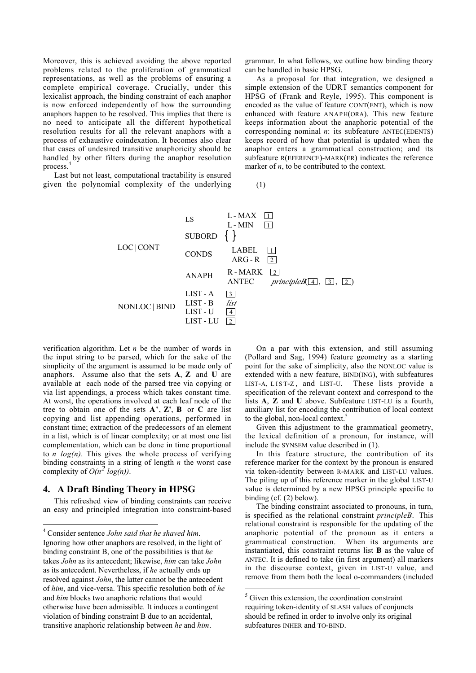Moreover, this is achieved avoiding the above reported problems related to the proliferation of grammatical representations, as well as the problems of ensuring a complete empirical coverage. Crucially, under this lexicalist approach, the binding constraint of each anaphor is now enforced independently of how the surrounding anaphors happen to be resolved. This implies that there is no need to anticipate all the different hypothetical resolution results for all the relevant anaphors with a process of exhaustive coindexation. It becomes also clear that cases of undesired transitive anaphoricity should be handled by other filters during the anaphor resolution process.

Last but not least, computational tractability is ensured given the polynomial complexity of the underlying grammar. In what follows, we outline how binding theory can be handled in basic HPSG.

As a proposal for that integration, we designed a simple extension of the UDRT semantics component for HPSG of (Frank and Reyle, 1995). This component is encoded as the value of feature CONT(ENT), which is now enhanced with feature ANAPH(ORA). This new feature keeps information about the anaphoric potential of the corresponding nominal *n*: its subfeature ANTEC(EDENTS) keeps record of how that potential is updated when the anaphor enters a grammatical construction; and its subfeature R(EFERENCE)-MARK(ER) indicates the reference marker of *n*, to be contributed to the context.

(1)



-

verification algorithm. Let *n* be the number of words in the input string to be parsed, which for the sake of the simplicity of the argument is assumed to be made only of anaphors. Assume also that the sets **A**, **Z** and **U** are available at each node of the parsed tree via copying or via list appendings, a process which takes constant time. At worst, the operations involved at each leaf node of the tree to obtain one of the sets **A'**, **Z'**, **B** or **C** are list copying and list appending operations, performed in constant time; extraction of the predecessors of an element in a list, which is of linear complexity; or at most one list complementation, which can be done in time proportional to *n log(n)*. This gives the whole process of verifying binding constraints in a string of length *n* the worst case complexity of  $O(n^2 log(n))$ .

## **4. A Draft Binding Theory in HPSG**

This refreshed view of binding constraints can receive an easy and principled integration into constraint-based

On a par with this extension, and still assuming (Pollard and Sag, 1994) feature geometry as a starting point for the sake of simplicity, also the NONLOC value is extended with a new feature, BIND(ING), with subfeatures LIST-A, LIST-Z , and LIST-U. These lists provide a specification of the relevant context and correspond to the lists **A**, **Z** and **U** above. Subfeature LIST-LU is a fourth, auxiliary list for encoding the contribution of local context to the global, non-local context.<sup>5</sup>

Given this adjustment to the grammatical geometry, the lexical definition of a pronoun, for instance, will include the SYNSEM value described in (1).

In this feature structure, the contribution of its reference marker for the context by the pronoun is ensured via token-identity between R-MARK and LIST-LU values. The piling up of this reference marker in the global LIST-U value is determined by a new HPSG principle specific to binding (cf. (2) below).

The binding constraint associated to pronouns, in turn, is specified as the relational constraint *principleB*. This relational constraint is responsible for the updating of the anaphoric potential of the pronoun as it enters a grammatical construction. When its arguments are instantiated, this constraint returns list **B** as the value of ANTEC. It is defined to take (in first argument) all markers in the discourse context, given in LIST-U value, and remove from them both the local o-commanders (included

 4 Consider sentence *John said that he shaved him*.

Ignoring how other anaphors are resolved, in the light of binding constraint B, one of the possibilities is that *he* takes *John* as its antecedent; likewise, *him* can take *John* as its antecedent. Nevertheless, if *he* actually ends up resolved against *John*, the latter cannot be the antecedent of *him*, and vice-versa. This specific resolution both of *he* and *him* blocks two anaphoric relations that would otherwise have been admissible. It induces a contingent violation of binding constraint B due to an accidental, transitive anaphoric relationship between *he* and *him*.

<sup>&</sup>lt;sup>5</sup> Given this extension, the coordination constraint requiring token-identity of SLASH values of conjuncts should be refined in order to involve only its original subfeatures INHER and TO-BIND.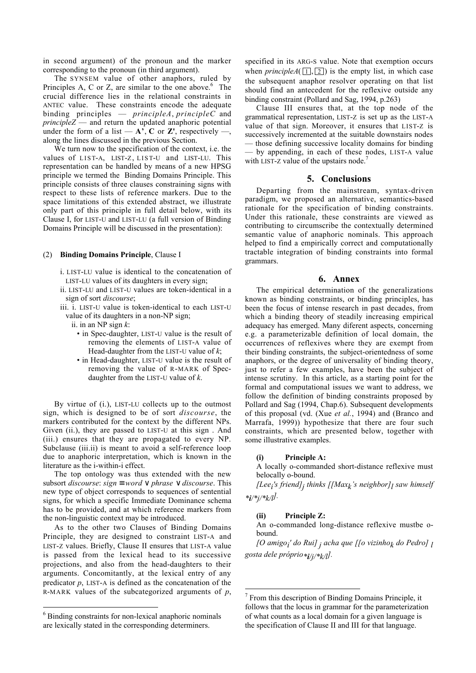in second argument) of the pronoun and the marker corresponding to the pronoun (in third argument).

The SYNSEM value of other anaphors, ruled by Principles A, C or Z, are similar to the one above. $6$  The crucial difference lies in the relational constraints in ANTEC value. These constraints encode the adequate binding principles — *principleA*, *principleC* and *principleZ* — and return the updated anaphoric potential under the form of a list  $- A$ <sup>'</sup>, C or **Z**', respectively  $-$ , along the lines discussed in the previous Section.

We turn now to the specification of the context, i.e. the values of LIST-A, LIST-Z, LIST-U and LIST-LU. This representation can be handled by means of a new HPSG principle we termed the Binding Domains Principle. This principle consists of three clauses constraining signs with respect to these lists of reference markers. Due to the space limitations of this extended abstract, we illustrate only part of this principle in full detail below, with its Clause I, for LIST-U and LIST-LU (a full version of Binding Domains Principle will be discussed in the presentation):

#### (2) **Binding Domains Principle**, Clause I

- i. LIST-LU value is identical to the concatenation of LIST-LU values of its daughters in every sign;
- ii. LIST-LU and LIST-U values are token-identical in a sign of sort *discourse*;
- iii. i. LIST-U value is token-identical to each LIST-U value of its daughters in a non-NP sign;
	- ii. in an NP sign *k*:
		- in Spec-daughter, LIST-U value is the result of removing the elements of LIST-A value of Head-daughter from the LIST-U value of *k*;
		- in Head-daughter, LIST-U value is the result of removing the value of R-MARK of Specdaughter from the LIST-U value of *k*.

By virtue of (i.), LIST-LU collects up to the outmost sign, which is designed to be of sort *discourse*, the markers contributed for the context by the different NPs. Given (ii.), they are passed to LIST-U at this sign . And (iii.) ensures that they are propagated to every NP. Subclause (iii.ii) is meant to avoid a self-reference loop due to anaphoric interpretation, which is known in the literature as the i-within-i effect.

The top ontology was thus extended with the new subsort *discourse*: *sign* ≡ *word* ∨ *phrase* ∨ *discourse*. This new type of object corresponds to sequences of sentential signs, for which a specific Immediate Dominance schema has to be provided, and at which reference markers from the non-linguistic context may be introduced.

As to the other two Clauses of Binding Domains Principle, they are designed to constraint LIST-A and LIST-Z values. Briefly, Clause II ensures that LIST-A value is passed from the lexical head to its successive projections, and also from the head-daughters to their arguments. Concomitantly, at the lexical entry of any predicator *p*, LIST-A is defined as the concatenation of the R-MARK values of the subcategorized arguments of *p*,

specified in its ARG-S value. Note that exemption occurs when *principleA*( $\boxed{1}$ ,  $\boxed{2}$ ) is the empty list, in which case the subsequent anaphor resolver operating on that list should find an antecedent for the reflexive outside any binding constraint (Pollard and Sag, 1994, p.263)

Clause III ensures that, at the top node of the grammatical representation, LIST-Z is set up as the LIST-A value of that sign. Moreover, it ensures that LIST-Z is successively incremented at the suitable downstairs nodes — those defining successive locality domains for binding — by appending, in each of these nodes, LIST-A value with LIST-Z value of the upstairs node.<sup>7</sup>

### **5. Conclusions**

Departing from the mainstream, syntax-driven paradigm, we proposed an alternative, semantics-based rationale for the specification of binding constraints. Under this rationale, these constraints are viewed as contributing to circumscribe the contextually determined semantic value of anaphoric nominals. This approach helped to find a empirically correct and computationally tractable integration of binding constraints into formal grammars.

## **6. Annex**

The empirical determination of the generalizations known as binding constraints, or binding principles, has been the focus of intense research in past decades, from which a binding theory of steadily increasing empirical adequacy has emerged. Many diferent aspects, concerning e.g. a parameterizable definition of local domain, the occurrences of reflexives where they are exempt from their binding constraints, the subject-orientedness of some anaphors, or the degree of universality of binding theory, just to refer a few examples, have been the subject of intense scrutiny. In this article, as a starting point for the formal and computational issues we want to address, we follow the definition of binding constraints proposed by Pollard and Sag (1994, Chap.6). Subsequent developments of this proposal (vd. (Xue *et al.*, 1994) and (Branco and Marrafa, 1999)) hypothesize that there are four such constraints, which are presented below, together with some illustrative examples.

#### **(i) Principle A:**

A locally o-commanded short-distance reflexive must belocally o-bound.

*[Leei 's friend]j thinks [[Maxk's neighbor]l saw himself \*i/\*j/\*k/l].*

## **(ii) Principle Z:**

-

An o-commanded long-distance reflexive mustbe obound.

*[O amigoi ' do Rui] j acha que [[o vizinhok do Pedro] l gosta dele próprio\*i/j/\*k/l].*

 6 Binding constraints for non-lexical anaphoric nominals are lexically stated in the corresponding determiners.

<sup>7</sup> From this description of Binding Domains Principle, it follows that the locus in grammar for the parameterization of what counts as a local domain for a given language is the specification of Clause II and III for that language.